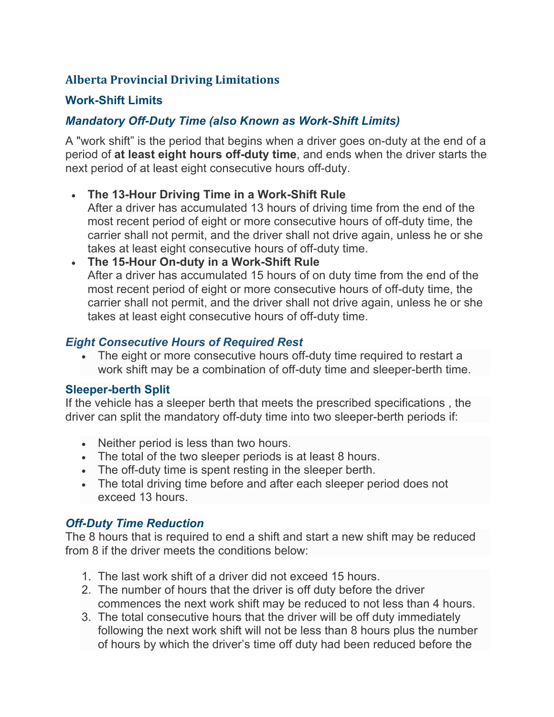# **Alberta Provincial Driving Limitations**

### **Work-Shift Limits**

# *Mandatory Off-Duty Time (also Known as Work-Shift Limits)*

A "work shift" is the period that begins when a driver goes on-duty at the end of a period of **at least eight hours off-duty time**, and ends when the driver starts the next period of at least eight consecutive hours off-duty.

- **The 13-Hour Driving Time in a Work-Shift Rule**
	- After a driver has accumulated 13 hours of driving time from the end of the most recent period of eight or more consecutive hours of off-duty time, the carrier shall not permit, and the driver shall not drive again, unless he or she takes at least eight consecutive hours of off-duty time.
- **The 15-Hour On-duty in a Work-Shift Rule** After a driver has accumulated 15 hours of on duty time from the end of the most recent period of eight or more consecutive hours of off-duty time, the carrier shall not permit, and the driver shall not drive again, unless he or she takes at least eight consecutive hours of off-duty time.

### *Eight Consecutive Hours of Required Rest*

• The eight or more consecutive hours off-duty time required to restart a work shift may be a combination of off-duty time and sleeper-berth time.

#### **Sleeper-berth Split**

If the vehicle has a sleeper berth that meets the prescribed specifications , the driver can split the mandatory off-duty time into two sleeper-berth periods if:

- Neither period is less than two hours.
- The total of the two sleeper periods is at least 8 hours.
- The off-duty time is spent resting in the sleeper berth.
- The total driving time before and after each sleeper period does not exceed 13 hours.

## *Off-Duty Time Reduction*

The 8 hours that is required to end a shift and start a new shift may be reduced from 8 if the driver meets the conditions below:

- 1. The last work shift of a driver did not exceed 15 hours.
- 2. The number of hours that the driver is off duty before the driver commences the next work shift may be reduced to not less than 4 hours.
- 3. The total consecutive hours that the driver will be off duty immediately following the next work shift will not be less than 8 hours plus the number of hours by which the driver's time off duty had been reduced before the